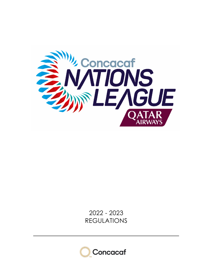

2022 - 2023 REGULATIONS

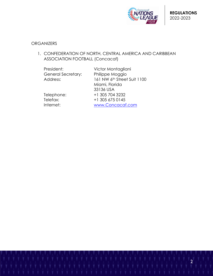

# **ORGANIZERS**

1. CONFEDERATION OF NORTH, CENTRAL AMERICA AND CARIBBEAN ASSOCIATION FOOTBALL (Concacaf)

| President:                | Victor Montagliani          |
|---------------------------|-----------------------------|
| <b>General Secretary:</b> | Philippe Moggio             |
| Address:                  | 161 NW 6th Street Suit 1100 |
|                           | Miami, Florida              |
|                           | 33136 USA                   |
| Telephone:                | +1 305 704 3232             |
| Telefax:                  | +1 305 675 0145             |
| Internet:                 | www.Concacaf.com            |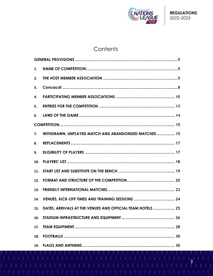

# **Contents**

| 1.  |                                                            |  |
|-----|------------------------------------------------------------|--|
| 2.  |                                                            |  |
| 3.  |                                                            |  |
| 4.  |                                                            |  |
| 5.  |                                                            |  |
| 6.  |                                                            |  |
|     |                                                            |  |
| 7.  | WITHDRAWN, UNPLAYED MATCH AND ABANDONDED MATCHES 15        |  |
| 8.  |                                                            |  |
| 9.  |                                                            |  |
| 10. |                                                            |  |
| 11. |                                                            |  |
| 12. |                                                            |  |
| 13. |                                                            |  |
|     | 14. VENUES, KICK-OFF TIMES AND TRAINING SESSIONS  24       |  |
| 15. | DATES, ARRIVALS AT THE VENUES AND OFFICIAL TEAM HOTELS  25 |  |
| 16. |                                                            |  |
| 17. |                                                            |  |
| 18. |                                                            |  |
| 19. |                                                            |  |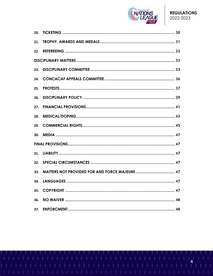

| 21. |                                               |  |
|-----|-----------------------------------------------|--|
| 22. |                                               |  |
|     |                                               |  |
|     |                                               |  |
|     |                                               |  |
| 25. |                                               |  |
| 26. |                                               |  |
| 27. |                                               |  |
| 28. |                                               |  |
|     |                                               |  |
| 30. |                                               |  |
|     |                                               |  |
|     |                                               |  |
| 32. |                                               |  |
| 33. | MATTERS NOT PROVIDED FOR AND FORCE MAJEURE 47 |  |
|     |                                               |  |
|     |                                               |  |
| 36. |                                               |  |
| 37. |                                               |  |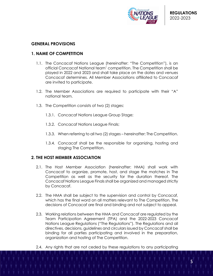

# **GENERAL PROVISIONS**

# **1. NAME OF COMPETITION**

- 1.1. The Concacaf Nations League (hereinafter: "The Competition"), is an official Concacaf National team' competition. The Competition shall be played in 2022 and 2023 and shall take place on the dates and venues Concacaf determines. All Member Associations affiliated to Concacaf are invited to participate.
- 1.2. The Member Associations are required to participate with their "A" national team.
- 1.3. The Competition consists of two (2) stages:
	- 1.3.1. Concacaf Nations League Group Stage;
	- 1.3.2. Concacaf Nations League Finals;
	- 1.3.3. When referring to all two (2) stages hereinafter: The Competition.
	- 1.3.4. Concacaf shall be the responsible for organizing, hosting and staging The Competition.

## **2. THE HOST MEMBER ASSOCIATION**

- 2.1. The Host Member Association (hereinafter: HMA) shall work with Concacaf to organize, promote, host, and stage the matches in The Competition as well as the security for the duration thereof. The Concacaf Nations League Finals shall be organized and managed strictly by Concacaf.
- 2.2. The HMA shall be subject to the supervision and control by Concacaf, which has the final word on all matters relevant to The Competition. The decisions of Concacaf are final and binding and not subject to appeal.
- 2.3. Working relations between the HMA and Concacaf are regulated by the Team Participation Agreement (TPA) and the 2022-2023 Concacaf Nations League Regulations ("The Regulations"). The Regulations and all directives, decisions, guidelines and circulars issued by Concacaf shall be binding for all parties participating and involved in the preparation, organization and hosting of The Competition.
- 2.4. Any rights that are not ceded by these regulations to any participating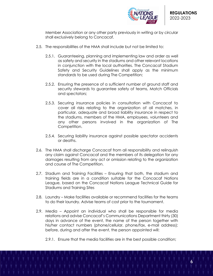

Member Association or any other party previously in writing or by circular shall exclusively belong to Concacaf.

- 2.5. The responsibilities of the HMA shall include but not be limited to:
	- 2.5.1. Guaranteeing, planning and implementing law and order as well as safety and security in the stadiums and other relevant locations in conjunction with the local authorities. The Concacaf Stadium Safety and Security Guidelines shall apply as the minimum standards to be used during The Competition;
	- 2.5.2. Ensuring the presence of a sufficient number of ground staff and security stewards to guarantee safety of teams, Match Officials and spectators;
	- 2.5.3. Securing insurance policies in consultation with Concacaf to cover all risks relating to the organization of all matches, in particular, adequate and broad liability insurance in respect to the stadiums, members of the HMA, employees, volunteers and any other persons involved in the organization of The Competition.
	- 2.5.4. Securing liability insurance against possible spectator accidents or deaths.
- 2.6. The HMA shall discharge Concacaf from all responsibility and relinquish any claim against Concacaf and the members of its delegation for any damages resulting from any act or omission relating to the organization and course of The Competition.
- 2.7. Stadium and Training Facilities Ensuring that both, the stadium and training fields are in a condition suitable for the Concacaf Nations League, based on the Concacaf Nations League Technical Guide for Stadiums and Training Sites
- 2.8. Laundry Make facilities available or recommend facilities for the teams to do their laundry. Advise teams of cost prior to the tournament.
- 2.9. Media Appoint an individual who shall be responsible for media relations and advise Concacaf's Communications Department thirty (30) days in advance of the event, the name of the person together with his/her contact numbers (phone/cellular, phone/fax, e-mail address); before, during and after the event, the person appointed will:
	- 2.9.1. Ensure that the media facilities are in the best possible condition;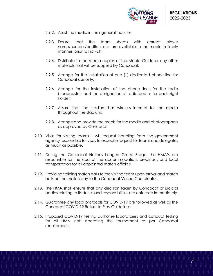

- 2.9.2. Assist the media in their general inquiries;
- 2.9.3. Ensure that the team sheets with correct player name/number/position, etc. are available to the media in timely manner, prior to kick-off;
- 2.9.4. Distribute to the media copies of the Media Guide or any other materials that will be supplied by Concacaf;
- 2.9.5. Arrange for the installation of one (1) dedicated phone line for Concacaf use only;
- 2.9.6. Arrange for the installation of the phone lines for the radio broadcasters and the designation of radio booths for each right holder;
- 2.9.7. Assure that the stadium has wireless internet for the media throughout the stadium;
- 2.9.8. Arrange and provide the meals for the media and photographers as approved by Concacaf.
- 2.10. Visas for visiting teams will request handling from the government agency responsible for visas to expedite request for teams and delegates as much as possible.
- 2.11. During the Concacaf Nations League Group Stage, the HMA's are responsible for the cost of the accommodation, breakfast, and local transportation for all appointed match officials.
- 2.12. Providing training match balls to the visiting team upon arrival and match balls on the match day to the Concacaf Venue Coordinator.
- 2.13. The HMA shall ensure that any decision taken by Concacaf or judicial bodies relating to its duties and responsibilities are enforced immediately.
- 2.14. Guarantee any local protocols for COVID-19 are followed as well as the Concacaf COVID-19 Return to Play Guidelines.
- 2.15. Proposed COVID-19 testing authorize laboratories and conduct testing for all HMA staff operating the tournament as per Concacaf requirements.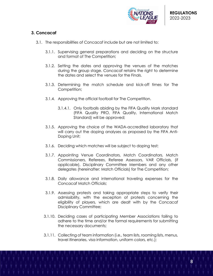

# **3. Concacaf**

- 3.1. The responsibilities of Concacaf include but are not limited to:
	- 3.1.1. Supervising general preparations and deciding on the structure and format of The Competition;
	- 3.1.2. Setting the dates and approving the venues of the matches during the group stage. Concacaf retains the right to determine the dates and select the venues for the Finals.
	- 3.1.3. Determining the match schedule and kick-off times for The Competition;
	- 3.1.4. Approving the official football for The Competition.
		- 3.1.4.1. Only footballs abiding by the FIFA Quality Mark standard (FIFA Quality PRO, FIFA Quality, International Match Standard) will be approved;
	- 3.1.5. Approving the choice of the WADA-accredited laboratory that will carry out the doping analyses as proposed by the FIFA Anti-Doping Unit;
	- 3.1.6. Deciding which matches will be subject to doping test;
	- 3.1.7. Appointing Venue Coordinators, Match Coordinators, Match Commissioners, Referees, Referee Assessors, VAR Officials, (if applicable), Disciplinary Committee Members and any other delegates (hereinafter: Match Officials) for The Competition;
	- 3.1.8. Daily allowance and international traveling expenses for the Concacaf Match Officials;
	- 3.1.9. Assessing protests and taking appropriate steps to verify their admissibility, with the exception of protests concerning the eligibility of players, which are dealt with by the Concacaf Disciplinary Committee;
	- 3.1.10. Deciding cases of participating Member Associations failing to adhere to the time and/or the formal requirements for submitting the necessary documents;
	- 3.1.11. Collecting of team information (i.e., team lists, rooming lists, menus, travel itineraries, visa information, uniform colors, etc.);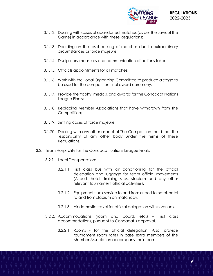

- 3.1.12. Dealing with cases of abandoned matches (as per the Laws of the Game) in accordance with these Regulations;
- 3.1.13. Deciding on the rescheduling of matches due to extraordinary circumstances or force majeure;
- 3.1.14. Disciplinary measures and communication of actions taken;
- 3.1.15. Officials appointments for all matches;
- 3.1.16. Work with the Local Organizing Committee to produce a stage to be used for the competition final award ceremony;
- 3.1.17. Provide the trophy, medals, and awards for the Concacaf Nations League Finals;
- 3.1.18. Replacing Member Associations that have withdrawn from The Competition;
- 3.1.19. Settling cases of force majeure;
- 3.1.20. Dealing with any other aspect of The Competition that is not the responsibility of any other body under the terms of these Regulations.
- 3.2. Team Hospitality for the Concacaf Nations League Finals:
	- 3.2.1. Local Transportation:
		- 3.2.1.1. First class bus with air conditioning for the official delegation and luggage for team official movements (Airport, hotel, training sites, stadium and any other relevant tournament official activities).
		- 3.2.1.2. Equipment truck service to and from airport to hotel, hotel to and from stadium on matchday.
		- 3.2.1.3. Air domestic travel for official delegation within venues.
	- 3.2.2. Accommodations (room and board, etc.) First class accommodations, pursuant to Concacaf's approval.
		- 3.2.2.1. Rooms for the official delegation. Also, provide tournament room rates in case extra members of the Member Association accompany their team.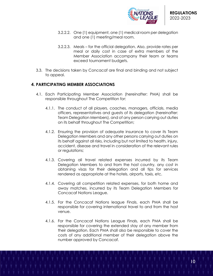

- 3.2.2.2. One (1) equipment, one (1) medical room per delegation and one (1) meeting/meal room.
- 3.2.2.3. Meals for the official delegation. Also, provide rates per meal or daily cost in case of extra members of the Member Association accompany their team or teams exceed tournament budgets.
- 3.3. The decisions taken by Concacaf are final and binding and not subject to appeal.

# **4. PARTICIPATING MEMBER ASSOCIATIONS**

- 4.1. Each Participating Member Association (hereinafter: PMA) shall be responsible throughout The Competition for:
	- 4.1.1. The conduct of all players, coaches, managers, officials, media officers, representatives and guests of its delegation (hereinafter: Team Delegation Members), and of any person carrying out duties on its behalf throughout The Competition;
	- 4.1.2. Ensuring the provision of adequate insurance to cover its Team Delegation Members and any other persons carrying out duties on its behalf against all risks, including but not limited to health, injury, accident, disease and travel in consideration of the relevant rules or regulations;
	- 4.1.3. Covering all travel related expenses incurred by its Team Delegation Members to and from the host country, any cost in obtaining visas for their delegation and all tips for services rendered as appropriate at the hotels, airports, taxis, etc.
	- 4.1.4. Covering all competition related expenses, for both home and away matches, incurred by its Team Delegation Members for Concacaf Nations League.
	- 4.1.5. For the Concacaf Nations league Finals, each PMA shall be responsible for covering international travel to and from the host venue.
	- 4.1.6. For the Concacaf Nations League Finals, each PMA shall be responsible for covering the extended stay of any member from their delegation. Each PMA shall also be responsible to cover the costs of any additional member of their delegation above the number approved by Concacaf.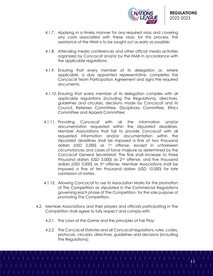

- 4.1.7. Applying in a timely manner for any required visas and covering any costs associated with these visas; for this process, the assistance of the HMA is to be sought out as early as possible;
- 4.1.8. Attending media conferences and other official media activities organized by Concacaf and/or by the HMA in accordance with the applicable regulations;
- 4.1.9. Ensuring that every member of its delegation or, where applicable, a duly appointed representative, completes the Concacaf Team Participation Agreement and signs the required documents;
- 4.1.10. Ensuring that every member of its delegation complies with all applicable regulations (including The Regulations), directives, guidelines and circulars, decisions made by Concacaf and its Council, Referees Committee, Disciplinary Committee, Ethics Committee and Appeal Committee;
- 4.1.11. Providing Concacaf with all the information and/or documentation requested within the stipulated deadlines. Member Associations that fail to provide Concacaf with all requested information and/or documentation within the stipulated deadlines shall be imposed a fine of two thousand dollars (USD 2,000) as 1st offense, except in unforeseen circumstances and cases of force majeure as determined by the Concacaf General Secretariat. The fine shall increase to three thousand dollars (USD 3,000) as 2nd offense, and five thousand dollars (USD 5,000) as 3rd offense. Member Associations shall be imposed a fine of ten thousand dollars (USD 10,000) for late submission of rosters.
- 4.1.12. Allowing Concacaf to use its Association Marks for the promotion of The Competition as stipulated in the Commercial Regulations governing each phase of The Competition, for the sole purpose of promoting The Competition.
- 4.2. Member Associations and their players and officials participating in The Competition shall agree to fully respect and comply with:
	- 4.2.1. The Laws of the Game and the principles of Fair Play;
	- 4.2.2. The Concacaf Statutes and all Concacaf regulations, rules, codes, protocols, circulars, directives, guidelines and decisions (including The Regulations);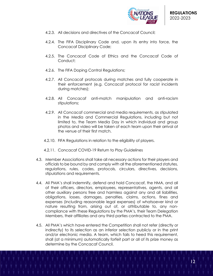

- 4.2.3. All decisions and directives of the Concacaf Council;
- 4.2.4. The FIFA Disciplinary Code and, upon its entry into force, the Concacaf Disciplinary Code;
- 4.2.5. The Concacaf Code of Ethics and the Concacaf Code of Conduct;
- 4.2.6. The FIFA Doping Control Regulations;
- 4.2.7. All Concacaf protocols during matches and fully cooperate in their enforcement (e.g. Concacaf protocol for racist incidents during matches);
- 4.2.8. All Concacaf anti-match manipulation and anti-racism stipulations;
- 4.2.9. All Concacaf commercial and media requirements, as stipulated in the Media and Commercial Regulations, including but not limited to, the Team Media Day in which individual and group photos and video will be taken of each team upon their arrival at the venue of their first match.
- 4.2.10. FIFA Regulations in relation to the eligibility of players.
- 4.2.11. Concacaf COVID-19 Return to Play Guidelines
- 4.3. Member Associations shall take all necessary actions for their players and officials to be bound by and comply with all the aforementioned statutes, regulations, rules, codes, protocols, circulars, directives, decisions, stipulations and requirements.
- 4.4. All PMA's shall indemnify, defend and hold Concacaf, the HMA, and all of their officers, directors, employees, representatives, agents, and all other auxiliary persons free and harmless against any and all liabilities, obligations, losses, damages, penalties, claims, actions, fines and expenses (including reasonable legal expenses) of whatsoever kind or nature resulting from, arising out of, or attributable to, any noncompliance with these Regulations by the PMA's, their Team Delegation Members, their affiliates and any third parties contracted to the PMA.
- 4.5. All PMA's which have entered the Competition shall not refer (directly or indirectly) to its selection as an inferior selection publicly or in the print and/or electronic media. A team, which fails to heed this requirement, shall (at a minimum) automatically forfeit part or all of its prize money as determine by the Concacaf Council.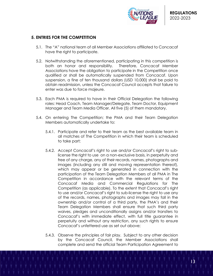

# **5. ENTRIES FOR THE COMPETITION**

- 5.1. The "A" national team of all Member Associations affiliated to Concacaf have the right to participate.
- 5.2. Notwithstanding the aforementioned, participating in this competition is both an honor and responsibility. Therefore, Concacaf Member Associations have the obligation to participate in the Competition once qualified or shall be automatically suspended from Concacaf. Upon suspension, a fine of ten thousand dollars (USD 10,000) shall be paid to obtain readmission, unless the Concacaf Council accepts that failure to enter was due to force majeure.
- 5.3. Each PMA is required to have in their Official Delegation the following roles: Head Coach, Team Manager/Delegate, Team Doctor, Equipment Manager and Team Media Officer. All five (5) of them mandatory.
- 5.4. On entering The Competition; the PMA and their Team Delegation Members automatically undertake to:
	- 5.4.1. Participate and refer to their team as the best available team in all matches of The Competition in which their team is scheduled to take part;
	- 5.4.2. Accept Concacaf's right to use and/or Concacaf's right to sublicense the right to use on a non-exclusive basis, in perpetuity and free of any charge, any of their records, names, photographs and images (including any still and moving representation thereof), which may appear or be generated in connection with the participation of the Team Delegation Members of all PMA in The Competition in accordance with the relevant terms of the Concacaf Media and Commercial Regulations for The Competition (as applicable). To the extent that Concacaf's right to use and/or Concacaf's right to sub-license the right to use any of the records, names, photographs and images may fall in the ownership and/or control of a third party, the PMA's and their Team Delegation Members shall ensure that such third party waives, pledges and unconditionally assigns and/or transfers to Concacaf's with immediate effect, with full title guarantee in perpetuity and without any restriction, any such rights to ensure Concacaf's unfettered use as set out above;
	- 5.4.3. Observe the principles of fair play. Subject to any other decision by the Concacaf Council, the Member Associations shall complete and send the official Team Participation Agreement to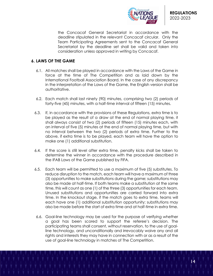

the Concacaf General Secretariat in accordance with the deadline stipulated in the relevant Concacaf circular. Only the Team Participating Agreements sent to the Concacaf General Secretariat by the deadline set shall be valid and taken into consideration unless approved in writing by Concacaf.

# **6. LAWS OF THE GAME**

- 6.1. All matches shall be played in accordance with the Laws of the Game in force at the time of The Competition and as laid down by the International Football Association Board. In the case of any discrepancy in the interpretation of the Laws of the Game, the English version shall be authoritative.
- 6.2. Each match shall last ninety (90) minutes, comprising two (2) periods of forty-five (45) minutes, with a half-time interval of fifteen (15) minutes.
- 6.3. If, in accordance with the provisions of these Regulations, extra time is to be played as the result of a draw at the end of normal playing time, it shall always consist of two (2) periods of fifteen (15) minutes each, with an interval of five (5) minutes at the end of normal playing time, but with no interval between the two (2) periods of extra time. Further to the above, if extra time is to be played, each team will have the option to make one (1) additional substitution.
- 6.4. If the score is still level after extra time, penalty kicks shall be taken to determine the winner in accordance with the procedure described in the IFAB Laws of the Game published by FIFA.
- 6.5. Each team will be permitted to use a maximum of five (5) substitutes. To reduce disruption to the match, each team will have a maximum of three (3) opportunities to make substitutions during the game; substitutions may also be made at half-time. If both teams make a substitution at the same time, this will count as one (1) of the three (3) opportunities for each team. Unused substitutions and opportunities are carried forward into extra time. In the knockout stage, if the match goes to extra time, teams will each have one (1) additional substitution opportunity; substitutions may also be made before the start of extra time and at half-time in extra time.
- 6.6. Goal-line technology may be used for the purpose of verifying whether a goal has been scored to support the referee's decision. The participating teams shall consent, without reservation, to the use of goalline technology, and unconditionally and irrevocably waive any and all rights and interests they may have in connection with or as a result of the use of goal-line technology in matches of The Competition.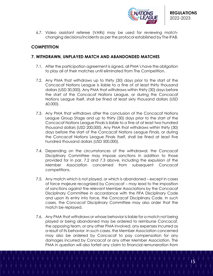

6.7. Video assistant referee (VARs) may be used for reviewing matchchanging decisions/incidents as per the protocol established by The IFAB.

# **COMPETITION**

# **7. WITHDRAWN, UNPLAYED MATCH AND ABANDONDED MATCHES**

- 7.1. After the participation agreement is signed, all PMA's have the obligation to play all of their matches until eliminated from The Competition.
- 7.2. Any PMA that withdraws up to thirty (30) days prior to the start of the Concacaf Nations League is liable to a fine of at least thirty thousand dollars (USD 30,000). Any PMA that withdraws within thirty (30) days before the start of the Concacaf Nations League, or during the Concacaf Nations League itself, shall be fined at least sixty thousand dollars (USD 60,000).
- 7.3. Any PMA that withdraws after the conclusion of the Concacaf Nations League Group Stage and up to thirty (30) days prior to the start of the Concacaf Nations League Finals is liable to a fine of at least two hundred thousand dollars (USD 200,000). Any PMA that withdraws within thirty (30) days before the start of the Concacaf Nations League Finals, or during the Concacaf Nations League Finals itself, shall be fined at least five hundred thousand dollars (USD 500,000).
- 7.4. Depending on the circumstances of the withdrawal, the Concacaf Disciplinary Committee may impose sanctions in addition to those provided for in par. 7.2 and 7.3 above, including the expulsion of the Member Association concerned from subsequent Concacaf competitions.
- 7.5. Any match which is not played, or which is abandoned except in cases of force majeure recognized by Concacaf – may lead to the imposition of sanctions against the relevant Member Associations by the Concacaf Disciplinary Committee in accordance with the FIFA Disciplinary Code and upon its entry into force, the Concacaf Disciplinary Code. In such cases, the Concacaf Disciplinary Committee may also order that the match be replayed.
- 7.6. Any PMA that withdraws or whose behavior is liable for a match not being played or being abandoned may be ordered to reimburse Concacaf, the opposing team, or any other PMA involved, any expenses incurred as a result of its behavior. In such cases, the Member Association concerned may also be ordered by Concacaf to pay compensation for any damages incurred by Concacaf or any other Member Association. The PMA in question will also forfeit any claim to financial remuneration from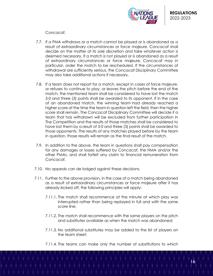

Concacaf.

- 7.7. If a PMA withdraws or a match cannot be played or is abandoned as a result of extraordinary circumstances or force majeure, Concacaf shall decide on the matter at its sole discretion and take whatever action is deemed necessary. If a match is not played or is abandoned as a result of extraordinary circumstances or force majeure, Concacaf may in particular, order the match to be rescheduled. If the circumstances of withdrawal are sufficiently serious, the Concacaf Disciplinary Committee may also take additional actions if necessary.
- 7.8. If a team does not report for a match, except in cases of force majeure, or refuses to continue to play, or leaves the pitch before the end of the match, the mentioned team shall be considered to have lost the match 3-0 and three (3) points shall be awarded to its opponent. If in the case of an abandoned match, the winning team had already reached a higher score at the time the team in question left the field, then the higher score shall remain. The Concacaf Disciplinary Committee will decide if a team that has withdrawn will be excluded from further participation in The Competition and the results of those matches shall be considered to have lost them by a result of 3-0 and three (3) points shall be awarded to those opponents. The results of any matches played before by the team in question, those results will remain as the final result of the match.
- 7.9. In addition to the above, the team in questions shall pay compensation for any damages or losses suffered by Concacaf, the HMA and/or the other PMAs, and shall forfeit any claim to financial remuneration from Concacaf.
- 7.10. No appeals can de lodged against these decisions.
- 7.11. Further to the above provision, in the case of a match being abandoned as a result of extraordinary circumstances or force majeure after it has already kicked off, the following principles will apply:
	- 7.11.1. The match shall recommence at the minute at which play was interrupted rather than being replayed in full and with the same score line;
	- 7.11.2. The match shall recommence with the same players on the pitch and substitutes available as when the match was abandoned;
	- 7.11.3. No additional substitutes may be added to the list of players on the team sheet;
	- 7.11.4. The teams can make only the number of substitutions to which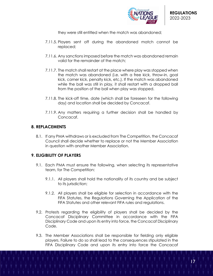

they were still entitled when the match was abandoned;

- 7.11.5. Players sent off during the abandoned match cannot be replaced;
- 7.11.6. Any sanctions imposed before the match was abandoned remain valid for the remainder of the match;
- 7.11.7. The match shall restart at the place where play was stopped when the match was abandoned (i.e. with a free kick, throw-in, goal kick, corner kick, penalty kick, etc.). If the match was abandoned while the ball was still in play, it shall restart with a dropped ball from the position of the ball when play was stopped.
- 7.11.8. The kick-off time, date (which shall be foreseen for the following day) and location shall be decided by Concacaf.
- 7.11.9. Any matters requiring a further decision shall be handled by Concacaf.

#### **8. REPLACEMENTS**

8.1. If any PMA withdraws or is excluded from The Competition, the Concacaf Council shall decide whether to replace or not the Member Association in question with another Member Association.

# **9. ELIGIBILITY OF PLAYERS**

- 9.1. Each PMA must ensure the following, when selecting its representative team, for The Competition:
	- 9.1.1. All players shall hold the nationality of its country and be subject to its jurisdiction;
	- 9.1.2. All players shall be eligible for selection in accordance with the FIFA Statutes, the Regulations Governing the Application of the FIFA Statutes and other relevant FIFA rules and regulations.
- 9.2. Protests regarding the eligibility of players shall be decided by the Concacaf Disciplinary Committee in accordance with the FIFA Disciplinary Code and upon its entry into force, the Concacaf Disciplinary Code.
- 9.3. The Member Associations shall be responsible for fielding only eligible players. Failure to do so shall lead to the consequences stipulated in the FIFA Disciplinary Code and upon its entry into force the Concacaf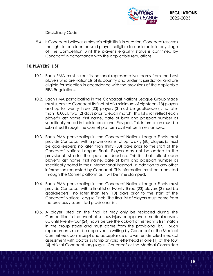

Disciplinary Code.

9.4. If Concacaf believes a player's eligibility is in question, Concacaf reserves the right to consider the said player ineligible to participate in any stage of The Competition until the player's eligibility status is confirmed by Concacaf in accordance with the applicable regulations.

# **10.PLAYERS' LIST**

- 10.1. Each PMA must select its national representative teams from the best players who are nationals of its country and under its jurisdiction and are eligible for selection in accordance with the provisions of the applicable FIFA Regulations.
- 10.2. Each PMA participating in the Concacaf Nations League Group Stage must submit to Concacaf its final list of a minimum of eighteen (18) players and up to twenty-three (23) players (3 must be goalkeepers), no later than 18:00ET, two (2) days prior to each match. This list shall reflect each player's last name, first name, date of birth and passport number as specifically noted in their International Passport. This information must be submitted through the Comet platform as it will be time stamped.
- 10.3. Each PMA participating in the Concacaf Nations League Finals must provide Concacaf with a provisional list of up to sixty (60) players (5 must be goalkeepers) no later than thirty (30) days prior to the start of the Concacaf Nations League Finals. Players may not be added to the provisional list after the specified deadline. This list shall reflect each player's last name, first name, date of birth and passport number as specifically noted in their International Passport. In addition to any other information requested by Concacaf. This information must be submitted through the Comet platform as it will be time stamped.
- 10.4. Each PMA participating in the Concacaf Nations League Finals must provide Concacaf with a final list of twenty-three (23) players (3 must be goalkeepers), no later than ten (10) days prior to the start of the Concacaf Nations League Finals. The final list of players must come from the previously submitted provisional list.
- 10.5. A player listed on the final list may only be replaced during The Competition in the event of serious injury or approved medical reasons up until twenty-four (24) hours before the kick-off of his team's first match in the group stage and must come from the provisional list. Such replacements must be approved in writing by Concacaf or the Medical Committee upon receipt and acceptance of a written detailed medical assessment with doctor's stamp or valid letterhead in one (1) of the four (4) official Concacaf languages. Concacaf or the Medical Committee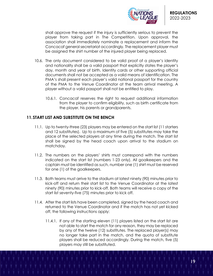

shall approve the request if the injury is sufficiently serious to prevent the player from taking part in The Competition. Upon approval, the association shall immediately nominate a replacement and inform the Concacaf general secretariat accordingly. The replacement player must be assigned the shirt number of the injured player being replaced.

- 10.6. The only document considered to be valid proof of a player's identity and nationality shall be a valid passport that explicitly states the player's day, month and year of birth. Identity cards or other supporting official documents shall not be accepted as a valid means of identification. The PMA's shall present each player's valid national passport for the country of the PMA to the Venue Coordinator at the team arrival meeting. A player without a valid passport shall not be entitled to play.
	- 10.6.1. Concacaf reserves the right to request additional information from the player to confirm eligibility, such as birth certificate from the player, his parents or grandparents.

# **11.START LIST AND SUBSTITUTE ON THE BENCH**

- 11.1. Up to twenty-three (23) players may be entered on the start list (11 starters and 12 substitutes). Up to a maximum of five (5) substitutes may take the place of the selected players at any time during the match. The start list shall be signed by the head coach upon arrival to the stadium on matchday.
- 11.2. The numbers on the players' shirts must correspond with the numbers indicated on the start list (numbers 1-23 only). All goalkeepers and the captain must be identified as such, number one (1) shirt must be reserved for one (1) of the goalkeepers.
- 11.3. Both teams must arrive to the stadium at latest ninety (90) minutes prior to kick-off and return their start list to the Venue Coordinator at the latest ninety (90) minutes prior to kick-off. Both teams will receive a copy of the start list seventy-five (75) minutes prior to kick off.
- 11.4. After the start lists have been completed, signed by the head coach and returned to the Venue Coordinator and if the match has not yet kicked off, the following instructions apply:
	- 11.4.1. If any of the starting eleven (11) players listed on the start list are not able to start the match for any reason, they may be replaced by any of the twelve (12) substitutes. The replaced player(s) may no longer take part in the match, and the quota of substitute players shall be reduced accordingly. During the match, five (5) players may still be substituted.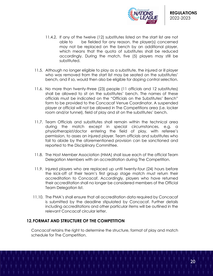

- 11.4.2. If any of the twelve (12) substitutes listed on the start list are not able to be fielded for any reason, the player(s) concerned may not be replaced on the bench by an additional player, which means that the quota of substitutes shall be reduced accordingly. During the match, five (5) players may still be substituted.
- 11.5. Although no longer eligible to play as a substitute, the injured or ill player who was removed from the start list may be seated on the substitutes' bench, and if so, would then also be eligible for doping control selection.
- 11.6. No more than twenty-three (23) people (11 officials and 12 substitutes) shall be allowed to sit on the substitutes' bench. The names of these officials must be indicated on the "Officials on the Substitutes' Bench" form to be provided to the Concacaf Venue Coordinator. A suspended player or official will not be allowed in The Competitions area (i.e. locker room and/or tunnel), field of play and sit on the substitutes' bench.
- 11.7. Team Officials and substitutes shall remain within the technical area during the match except in special circumstances, e.g. a physiotherapist/doctor entering the field of play, with referee's permission, to asses an injured player. Team officials and substitutes who fail to abide by the aforementioned provision can be sanctioned and reported to the Disciplinary Committee.
- 11.8. The Host Member Association (HMA) shall issue each of the official Team Delegation Members with an accreditation during The Competition.
- 11.9. Injured players who are replaced up until twenty-four (24) hours before the kick-off of their team's first group stage match must return their accreditation to Concacaf. Accordingly, players who have returned their accreditation shall no longer be considered members of the Official Team Delegation list.
- 11.10. The PMA's shall ensure that all accreditation data required by Concacaf is submitted by the deadline stipulated by Concacaf. Further details including accreditations and other particular items will be outlined in the relevant Concacaf circular letter.

## **12.FORMAT AND STRUCTURE OF THE COMPETITION**

Concacaf retains the right to determine the structure, format of play and match schedule for The Competition.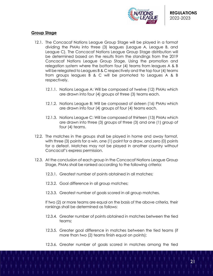

# **Group Stage**

- 12.1. The Concacaf Nations League Group Stage will be played in a format dividing the PMAs into three (3) leagues (League A, League B, and League C). The Concacaf Nations League Group Stage distribution will be determined based on the results from the standings from the 2019 Concacaf Nations League Group Stage. Using the promotion and relegation system where the bottom four (4) teams from leagues A & B will be relegated to Leagues B & C respectively and the top four (4) teams from groups leagues B & C will be promoted to Leagues A & B respectively.
	- 12.1.1. Nations League A: Will be composed of twelve (12) PMAs which are drawn into four (4) groups of three (3) teams each.
	- 12.1.2. Nations League B: Will be composed of sixteen (16) PMAs which are drawn info four (4) groups of four (4) teams each.
	- 12.1.3. Nations League C: Will be composed of thirteen (13) PMAs which are drawn into three (3) groups of three (3) and one (1) group of four (4) teams.
- 12.2. The matches in the groups shall be played in home and away format, with three (3) points for a win, one (1) point for a draw, and zero (0) points for a defeat. Matches may not be played in another country without Concacaf's express permission.
- 12.3. At the conclusion of each group in the Concacaf Nations League Group Stage, PMAs shall be ranked according to the following criteria:
	- 12.3.1. Greatest number of points obtained in all matches;
	- 12.3.2. Goal difference in all group matches;
	- 12.3.3. Greatest number of goals scored in all group matches.

If two (2) or more teams are equal on the basis of the above criteria, their rankings shall be determined as follows:

- 12.3.4. Greater number of points obtained in matches between the tied teams;
- 12.3.5. Greater goal difference in matches between the tied teams (if more than two (2) teams finish equal on points);
- 12.3.6. Greater number of goals scored in matches among the tied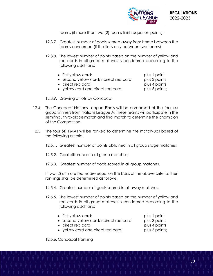

teams (if more than two (2) teams finish equal on points);

- 12.3.7. Greatest number of goals scored away from home between the teams concerned (if the tie is only between two teams)
- 12.3.8. The lowest number of points based on the number of yellow and red cards in all group matches is considered according to the following additions:

| $\bullet$ first yellow card:            | plus 1 point  |
|-----------------------------------------|---------------|
| • second yellow card/indirect red card: | plus 3 points |
| • direct red card:                      | plus 4 points |

• yellow card and direct red card: plus 5 points;

12.3.9. Drawing of lots by Concacaf

- 12.4. The Concacaf Nations League Finals will be composed of the four (4) group winners from Nations League A. These teams will participate in the semifinal, third-place match and final match to determine the champion of the Competition.
- 12.5. The four (4) PMAs will be ranked to determine the match-ups based of the following criteria;
	- 12.5.1. Greatest number of points obtained in all group stage matches;
	- 12.5.2. Goal difference in all group matches;
	- 12.5.3. Greatest number of goals scored in all group matches.

If two (2) or more teams are equal on the basis of the above criteria, their rankings shall be determined as follows:

- 12.5.4. Greatest number of goals scored in all away matches.
- 12.5.5. The lowest number of points based on the number of yellow and red cards in all group matches is considered according to the following additions:

| $\bullet$ first yellow card:            | plus 1 point  |
|-----------------------------------------|---------------|
| • second yellow card/indirect red card: | plus 3 points |

- direct red card: plus 4 points
- yellow card and direct red card: plus 5 points;

12.5.6. Concacaf Ranking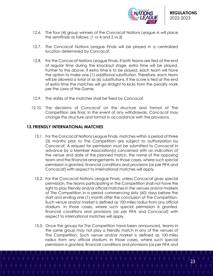

- 12.6. The four (4) group winners of the Concacaf Nations League A will place the semifinals as follows: (1 vs 4 and 2 vs 3)
- 12.7. The Concacaf Nations League Finals will be played in a centralized location determined by Concacaf.
- 12.8. For the Concacaf Nations League Finals, if both teams are tied at the end of regular time during the knockout stage, extra time will be played. Further to the above, if extra time is to be played, each team will have the option to make one (1) additional substitution. Therefore, each team will be allowed a total of six (6) substitutions. If the score is tied at the end of extra time the matches will go straight to kicks from the penalty mark per the Laws of the Game.
- 12.9. The dates of the matches shall be fixed by Concacaf.
- 12.10. The decisions of Concacaf on the structure and format of The Competition are final. In the event of any withdrawals, Concacaf may change the structure and format in accordance with the provisions.

## **13.FRIENDLY INTERNATIONAL MATCHES**

- 13.1. For the Concacaf Nations League Finals, matches within a period of three (3) months prior to The Competition are subject to authorization by Concacaf. A request for permission must be submitted to Concacaf in advance by a Member Association(s) concerned with an indication of the venue and date of the planned match, the name of the opposing team and the financial arrangements. In those cases, where such special permission is granted, financial conditions and provisions (as per FIFA and Concacaf) with respect to international matches will apply.
- 13.2. For the Concacaf Nations League Finals, unless Concacaf gives special permission, the teams participating in The Competition shall not have the right to play friendly and/or official matches in the venues and/or markets of The Competition in a period commencing sixty (60) days before the start and ending one (1) month after the conclusion of The Competition. Such venue and/or market is defined as 100-miles radius from any official stadium. In those cases, where such special permission is granted, financial conditions and provisions (as per FIFA and Concacaf) with respect to international matches will apply.
- 13.3. Once the groups for The Competition have been announced, teams in the same group may not play a friendly match in any of the venues of The Competition. Such venue and/or market is defined as 100-miles radius from any official stadium. In those cases, where such special permission is granted, financial conditions and provisions (as per FIFA and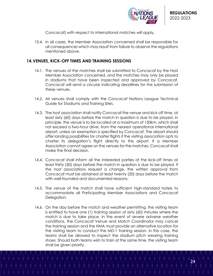

Concacaf) with respect to international matches will apply.

13.4. In all cases, the Member Association concerned shall be responsible for all consequences which may result from failure to observe the regulations mentioned above.

## **14.VENUES, KICK-OFF TIMES AND TRAINING SESSIONS**

- 14.1. The venues of the matches shall be submitted to Concacaf by the Host Member Association concerned, and the matches may only be played in stadiums that have been inspected and approved by Concacaf. Concacaf will send a circular indicating deadlines for the submission of these venues.
- 14.2. All venues shall comply with the Concacaf Nations League Technical Guide for Stadiums and Training Sites.
- 14.3. The host association shall notify Concacaf the venue and kick off time, at least sixty (60) days before the match in question is due to be played. In principle, the venue is to be located at a maximum of 150km, which shall not exceed a two-hour drive, from the nearest operational international airport, unless an exemption is specified by Concacaf. The airport should offer landing possibilities for charter flights if the visiting association opts to charter its delegation's flight directly to this airport. If a Member Association cannot agree on the venues for the matches, Concacaf shall make the final decision.
- 14.4. Concacaf shall inform all the interested parties of the kick-off times at least thirty (30) days before the match in question is due to be played. If the host associations request a change, the written approval from Concacaf must be obtained at least twenty (20) days before the match with well-founded and documented reasons.
- 14.5. The venue of the match shall have sufficient high-standard hotels to accommodate all Participating Member Associations and Concacaf Delegation.
- 14.6. On the day before the match and weather permitting, the visiting team is entitled to have one (1) training session of sixty (60) minutes where the match is due to take place. In the event of severe adverse weather conditions, the Concacaf Venue and Match Coordinator may cancel the training session and the HMA must provide an alternative location for the visiting team to conduct the MD-1 training session. In this case, the teams shall be allowed to inspect the stadium pitch wearing training shoes. Should both teams wish to train at the same time, the visiting team shall be given priority.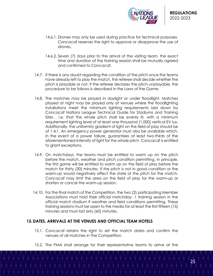

- 14.6.1. Drones may only be used during practice for technical purposes. Concacaf reserves the right to approve or disapprove the use of drones.
- 14.6.2. Seven (7) days prior to the arrival of the visiting team, the exact time and duration of the training session shall be mutually agreed and confirmed to Concacaf.
- 14.7. If there is any doubt regarding the condition of the pitch once the teams have already left to play the match, the referee shall decide whether the pitch is playable or not. If the referee declares the pitch unplayable, the procedure to be follows is described in the Laws of the Game.
- 14.8. The matches may be played in daylight or under floodlight. Matches played at night may be played only at venues where the floodlighting installations meet the minimum lighting requirements laid down by Concacaf Nations League Technical Guide for Stadiums and Training Sites, i.e. that the whole pitch shall be evenly lit, with a minimum requirement lighting level of at least one-thousand (1,000) vertical EV lux. Additionally, the uniformity gradient of light on the field of play should be of 1.4:1. An emergency power generator must also be available which, in the event of a power failure, guarantees at least two-thirds of the aforementioned intensity of light for the whole pitch. Concacaf is entitled to grant exceptions.
- 14.9. On matchdays, the teams must be entitled to warm up on the pitch before the match, weather and pitch condition permitting. In principle, the first game will be entitled to warm up on the field of play before the match for thirty (30) minutes. If the pitch is not in good condition or the warm-up would negatively affect the state of the pitch for the match, Concacaf may limit the area on the field of play for the warm-up or shorten or cancel the warm-up session.
- 14.10. For the final match of the Competition, the two (2) participating Member Associations must hold their official matchday -1 training session in the official match stadium if weather and field conditions permitting. These training sessions must be open to the media for at least the first fifteen (15) minutes and must last sixty (60) minutes.

# **15.DATES, ARRIVALS AT THE VENUES AND OFFICIAL TEAM HOTELS**

- 15.1. Concacaf retains the right to set the match dates and confirm the venues of all matches in The Competition.
- 15.2. The PMA shall arrange for their representative teams to arrive at the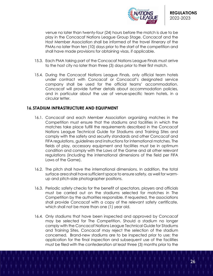

venue no later than twenty-four (24) hours before the match is due to be play in the Concacaf Nations League Group Stage. Concacaf and the Host Member Association shall be informed of the travel itinerary of the PMAs no later than ten (10) days prior to the start of the competition and shall have made provisions for obtaining visas, if applicable.

- 15.3. Each PMA taking part of the Concacaf Nations League Finals must arrive to the host city no later than three (3) days prior to their first match.
- 15.4. During the Concacaf Nations League Finals, only official team hotels under contract with Concacaf or Concacaf's designated service company shall be used for the official teams' accommodation. Concacaf will provide further details about accommodation policies, and in particular about the use of venue-specific team hotels, in a circular letter.

## **16.STADIUM INFRASTRUCTURE AND EQUIPMENT**

- 16.1. Concacaf and each Member Association organizing matches in the Competition must ensure that the stadiums and facilities in which the matches take place fulfill the requirements described in the Concacaf Nations League Technical Guide for Stadiums and Training Sites and comply with the safety and security standards and other Concacaf and FIFA regulations, guidelines and instructions for international matches. The fields of play, accessory equipment and facilities must be in optimum condition and comply with the Laws of the Game and all other relevant regulations (including the international dimensions of the field per FIFA Laws of the Game).
- 16.2. The pitch shall have the international dimensions. In addition, the total surface area shall have sufficient space to ensure safety, as well for warmup and pitch-side photographer positions.
- 16.3. Periodic safety checks for the benefit of spectators, players and officials must be carried out on the stadiums selected for matches in The Competition by the authorities responsible. If requested, the associations shall provide Concacaf with a copy of the relevant safety certificate, which shall not be more than one (1) year old.
- 16.4. Only stadiums that have been inspected and approved by Concacaf may be selected for The Competition. Should a stadium no longer comply with the Concacaf Nations League Technical Guide for Stadiums and Training Sites, Concacaf may reject the selection of the stadium concerned. Brand-new stadiums are to be inspected prior to use; the application for the final inspection and subsequent use of the facilities must be filed with the confederation at least three (3) months prior to the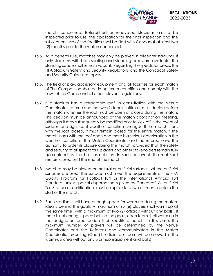

match concerned. Refurbished or renovated stadiums are to be inspected prior to use; the application for the final inspection and the subsequent use of the facilities shall be filed with Concacaf at least two (2) months prior to the match concerned.

- 16.5. As a general rule, matches may only be played in all-seater stadiums. If only stadiums with both seating and standing areas are available, the standing space shall remain vacant. Regarding the spectator areas, the FIFA Stadium Safety and Security Regulations and the Concacaf Safety and Security Guidelines, apply.
- 16.6. The field of play, accessory equipment and all facilities for each match of The Competition shall be in optimum condition and comply with the Laws of the Game and all other relevant regulations.
- 16.7. If a stadium has a retractable roof, in consultation with the Venue Coordinator, referee and the two (2) teams' officials, must decide before the match whether the roof must be open or closed during the match. This decision must be announced at the match coordination meeting, although it may subsequently be modified prior to kick-off in the event of sudden and significant weather condition changes. If the match starts with the roof closed, it must remain closed for the entire match. If the match starts with the roof open and there is a serious deterioration in the weather conditions, the Match Coordinator and the referee have the authority to order its closure during the match, provided that the safety and security of all spectators, players and other stakeholders remain fully guaranteed by the host association. In such an event, the roof shall remain closed until the end of the match.
- 16.8. Matches may be played on natural or artificial surfaces. Where artificial surfaces are used, the surface must meet the requirements of the FIFA Quality Program for Football Turf or the International Artificial Turf Standard, unless special dispensation is given by Concacaf. All Artificial Turf Standards certifications must be up to date two (2) month before the start of the match.
- 16.9. Each stadium shall have enough space for warm-up during the match, ideally behind the goals. A maximum of six (6) players shall warm up at the same time (with a maximum of two (2) officials without any balls). If there is not enough space behind the goals, each team shall warm up in the designated area beside their substitute bench. In this case, the maximum number of players will be determined by the Venue Coordinator and the Referees and communicated in the Match Coordination Meeting (One (1) official per team will be allowed in the warm-up area without any warmup equipment and balls).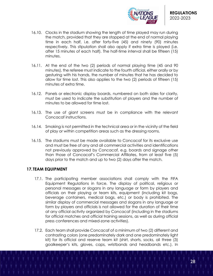

- 16.10. Clocks in the stadium showing the length of time played may run during the match, provided that they are stopped at the end of normal playing time in each half, i.e. after forty-five (45) and ninety (90) minutes respectively. This stipulation shall also apply if extra time is played (i.e. after 15 minutes of each half). The half-time interval shall be fifteen (15) minutes.
- 16.11. At the end of the two (2) periods of normal playing time (45 and 90 minutes), the referee must indicate to the fourth official, either orally or by gesturing with his hands, the number of minutes that he has decided to allow for time lost. This also applies to the two (2) periods of fifteen (15) minutes of extra time.
- 16.12. Panels or electronic display boards, numbered on both sides for clarity, must be used to indicate the substitution of players and the number of minutes to be allowed for time lost.
- 16.13. The use of giant screens must be in compliance with the relevant Concacaf instructions.
- 16.14. Smoking is not permitted in the technical area or in the vicinity of the field of play or within competition areas such as the dressing rooms.
- 16.15. The stadiums must be made available to Concacaf for its exclusive use and must be free of any and all commercial activities and identifications not previously approved by Concacaf, e.g. boards and signage other than those of Concacaf's Commercial Affiliates, from at least five (5) days prior to the match and up to two (2) days after the match.

# **17. TEAM EQUIPMENT**

- 17.1. The participating member associations shall comply with the FIFA Equipment Regulations in force. The display of political, religious or personal messages or slogans in any language or form by players and officials on their playing or team kits, equipment (including kit bags, beverage containers, medical bags, etc.) or body is prohibited. The similar display of commercial messages and slogans in any language or form by players and officials is not allowed for the duration of their time at any official activity organized by Concacaf (including in the stadiums for official matches and official training sessions, as well as during official press conferences and mixed-zone activities).
- 17.2. Each team shall provide Concacaf of a minimum of two (2) different and contrasting colors (one predominately dark and one predominately light kit) for its official and reserve team kit (shirt, shorts, socks, all three (3) goalkeeper's kits, gloves, caps, wristbands and headbands etc.). In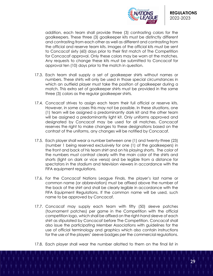

addition, each team shall provide three (3) contrasting colors for the goalkeepers. These three (3) goalkeeper kits must be distinctly different and contrasting from each other as well as different and contrasting from the official and reserve team kits. Images of the official kits must be sent to Concacaf sixty (60) days prior to their first match of The Competition for Concacaf approval. Only these colors may be worn at the matches. Any requests to change these kits must be submitted to Concacaf for approval ten (10) days prior to the match in question.

- 17.3. Each team shall supply a set of goalkeeper shirts without names or numbers. These shirts will only be used in those special circumstances in which an outfield player must take the position of goalkeeper during a match. This extra set of goalkeeper shirts must be provided in the same three (3) colors as the regular goalkeeper shirts.
- 17.4. Concacaf strives to assign each team their full official or reserve kits. However, in some cases this may not be possible. In these situations, one (1) team will be assigned a predominantly dark kit and the other team will be assigned a predominantly light kit. Only uniforms approved and designated by Concacaf may be used for all matches. Concacaf reserves the right to make changes to these designations based on the contrast of the uniforms, any changes will be notified by Concacaf.
- 17.5. Each player shall wear a number between one (1) and twenty-three (23) (number 1 being reserved exclusively for one (1) of the goalkeepers) in the front and back of his team shirt and on his playing shorts. The color of the numbers must contrast clearly with the main color of the shirts and shorts (light on dark or vice versa) and be legible from a distance for spectators in the stadium and television viewers in accordance with the FIFA equipment regulations.
- 17.6. For the Concacaf Nations League Finals, the player's last name or common name (or abbreviation) must be affixed above the number of the back of the shirt and shall be clearly legible in accordance with the FIFA Equipment Regulations. If the common name will be used, such name to be approved by Concacaf.
- 17.7. Concacaf may supply each team with fifty (50) sleeve patches (tournament patches) per game in the Competition with the official competition logo, which shall be affixed on the right-hand sleeve of each shirt as stipulated by Concacaf before The Competition. Concacaf shall also issue the participating Member Associations with guidelines for the use of official terminology and graphics which also contain instructions for the use of the players' sleeve badges per the commercial regulations.
- 17.8. Each player shall wear the number allotted to them on the final list in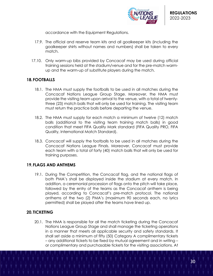

accordance with the Equipment Regulations.

- 17.9. The official and reserve team kits and all goalkeeper kits (including the goalkeeper shirts without names and numbers) shall be taken to every match.
- 17.10. Only warm-up bibs provided by Concacaf may be used during official training sessions held at the stadium/venue and for the pre-match warmup and the warm-up of substitute players during the match.

# **18.FOOTBALLS**

- 18.1. The HMA must supply the footballs to be used in all matches during the Concacaf Nations League Group Stage. Moreover, the HMA must provide the visiting team upon arrival to the venue, with a total of twentythree (23) match balls that will only be used for training. The visiting team must return the practice balls before departing the venue.
- 18.2. The HMA must supply for each match a minimum of twelve (12) match balls (additional to the visiting team training match balls) in good condition that meet FIFA Quality Mark standard (FIFA Quality PRO, FIFA Quality, International Match Standard).
- 18.3. Concacaf will supply the footballs to be used in all matches during the Concacaf Nations League Finals. Moreover, Concacaf must provide each team with a total of forty (40) match balls that will only be used for training purposes.

## **19.FLAGS AND ANTHEMS**

19.1. During The Competition, the Concacaf flag, and the national flags of both PMA's shall be displayed inside the stadium at every match. In addition, a ceremonial procession of flags onto the pitch will take place, followed by the entry of the teams as the Concacaf anthem is being played, according to Concacaf's pre-match protocol. The national anthems of the two (2) PMA's (maximum 90 seconds each, no lyrics permitted) shall be played after the teams have lined up.

# **20. TICKETING**

20.1. The HMA is responsible for all the match ticketing during the Concacaf Nations League Group Stage and shall manage the ticketing operations in a manner that meets all applicable security and safety standards. It shall set aside a minimum of fifty (50) Category A complimentary tickets – any additional tickets to be fixed by mutual agreement and in writing – or complimentary and purchasable tickets for the visiting associations. At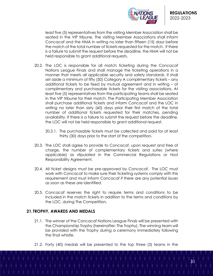

least five (5) representatives from the visiting Member Association shall be seated in the VIP tribune. The visiting Member Associations shall inform Concacaf and the HMA in writing no later than fifteen (15) days before the match of the total number of tickets requested for the match. If there is a failure to submit the request before the deadline, the HMA will not be held responsible to grant additional requests.

- 20.2. The LOC is responsible for all match ticketing during the Concacaf Nations League Finals and shall manage the ticketing operations in a manner that meets all applicable security and safety standards. It shall set aside a minimum of fifty (50) Category A complimentary tickets – any additional tickets to be fixed by mutual agreement and in writing – of complimentary and purchasable tickets for the visiting associations. At least five (5) representatives from the participating teams shall be seated in the VIP tribune for their match. The Participating Member Association shall purchase additional tickets and inform Concacaf and the LOC in writing no later than sixty (60) days prior their first match of the total number of additional tickets requested for their matches, pending availability. If there is a failure to submit the request before the deadline, the LOC will not be held responsible to grant additional request.
	- 20.2.1. The purchasable tickets must be collected and paid for at least thirty (30) days prior to the start of the competition.
- 20.3. The LOC shall agree to provide to Concacaf, upon request and free of charge, the number of complementary tickets and suites (where applicable) as stipulated in the Commercial Regulations or Host Responsibility Agreement.
- 20.4. All ticket designs must be pre-approved by Concacaf. The LOC must work with Concacaf to make sure their ticketing systems comply with this requirement and must inform Concacaf if there are any potential issues as soon as these are identified.
- 20.5. Concacaf reserves the right to require terms and conditions to be included in the match tickets in addition to the terms and conditions by the LOC, during The Competition.

# **21. TROPHY, AWARDS AND MEDALS**

- 21.1. The winner of the Concacaf Nations League Finals will be presented with the Championship Trophy (hereinafter: The Trophy). The winning team will be provided with the Trophy during a ceremony immediately following the final whistle.
- 21.2. Forty (40) medals will be presented to the top three (3) teams in the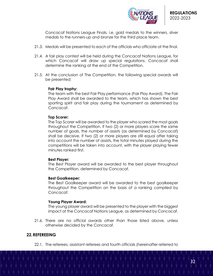

Concacaf Nations League Finals, i.e. gold medals to the winners, silver medals to the runners-up and bronze for the third place team.

- 21.3. Medals will be presented to each of the officials who officiate at the final.
- 21.4. A fair play contest will be held during the Concacaf Nations League, for which Concacaf will draw up special regulations. Concacaf shall determine the ranking at the end of the Competition.
- 21.5. At the conclusion of The Competition, the following special awards will be presented:

#### **Fair Play trophy:**

The team with the best Fair Play performance (Fair Play Award). The Fair Play Award shall be awarded to the team, which has shown the best sporting spirit and fair play during the tournament as determined by Concacaf.

## **Top Scorer:**

The Top Scorer will be awarded to the player who scored the most goals throughout the Competition. If two (2) or more players score the same number of goals, the number of assists (as determined by Concacaf) shall be decisive. If two (2) or more players are still equal after taking into account the number of assists, the total minutes played during the competitions will be taken into account, with the player playing fewer minutes ranked first.

#### **Best Player:**

The Best Player award will be awarded to the best player throughout the Competition, determined by Concacaf.

## **Best Goalkeeper:**

The Best Goalkeeper award will be awarded to the best goalkeeper throughout the Competition on the basis of a ranking compiled by Concacaf.

#### **Young Player Award:**

The young player award will be presented to the player with the biggest impact at the Concacaf Nations League, as determined by Concacaf.

21.6. There are no official awards other than those listed above, unless otherwise decided by the Concacaf.

# **22.REFEREEING**

22.1. The referees, assistant referees and fourth officials (hereinafter referred to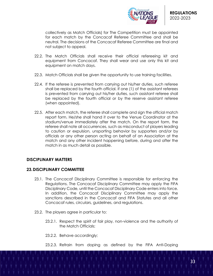

collectively as Match Officials) for The Competition must be appointed for each match by the Concacaf Referee Committee and shall be neutral. The decisions of the Concacaf Referee Committee are final and not subject to appeal.

- 22.2. The Match Officials shall receive their official refereeing kit and equipment from Concacaf. They shall wear and use only this kit and equipment on match days.
- 22.3. Match Officials shall be given the opportunity to use training facilities.
- 22.4. If the referee is prevented from carrying out his/her duties, such referee shall be replaced by the fourth official. If one (1) of the assistant referees is prevented from carrying out his/her duties, such assistant referee shall be replaced by the fourth official or by the reserve assistant referee (when appointed).
- 22.5. After each match, the referee shall complete and sign the official match report form. He/she shall hand it over to the Venue Coordinator at the stadium/venue immediately after the match. On the report form, the referee shall note all occurrences, such as misconduct of players leading to caution or expulsion, unsporting behavior by supporters and/or by officials or any other person acting on behalf of an Association at the match and any other incident happening before, during and after the match in as much detail as possible.

## **DISCIPLINARY MATTERS**

## **23.DISCIPLINARY COMMITTEE**

- 23.1. The Concacaf Disciplinary Committee is responsible for enforcing the Regulations. The Concacaf Disciplinary Committee may apply the FIFA Disciplinary Code, until the Concacaf Disciplinary Code enters into force. In addition, the Concacaf Disciplinary Committee may apply the sanctions described in the Concacaf and FIFA Statutes and all other Concacaf rules, circulars, guidelines, and regulations.
- 23.2. The players agree in particular to:
	- 23.2.1. Respect the spirit of fair play, non-violence and the authority of the Match Officials;
	- 23.2.2. Behave accordingly;
	- 23.2.3. Refrain from doping as defined by the FIFA Anti-Doping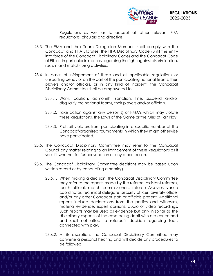

Regulations as well as to accept all other relevant FIFA regulations, circulars and directive.

- 23.3. The PMA and their Team Delegation Members shall comply with the Concacaf and FIFA Statutes, the FIFA Disciplinary Code (until the entry into force of the Concacaf Disciplinary Code) and the Concacaf Code of Ethics, in particular in matters regarding the fight against discrimination, racism and match-fixing activities.
- 23.4. In cases of infringement of these and all applicable regulations or unsporting behavior on the part of the participating national teams, their players and/or officials, or in any kind of incident, the Concacaf Disciplinary Committee shall be empowered to:
	- 23.4.1. Warn, caution, admonish, sanction, fine, suspend and/or disqualify the national teams, their players and/or officials.
	- 23.4.2. Take action against any person(s) or PMA's which may violate these Regulations, the Laws of the Game or the rules of Fair Play.
	- 23.4.3. Prohibit violators from participating in a specific number of the Concacaf-organized tournaments in which they might otherwise have participated.
- 23.5. The Concacaf Disciplinary Committee may refer to the Concacaf Council any matter relating to an infringement of these Regulations as it sees fit whether for further sanction or any other reason.
- 23.6. The Concacaf Disciplinary Committee decisions may be based upon written record or by conducting a hearing.
	- 23.6.1. When making a decision, the Concacaf Disciplinary Committee may refer to the reports made by the referee, assistant referees, fourth official, match commissioners, referee Assessor, venue coordinator, technical delegate, security officer, diversity officer and/or any other Concacaf staff or officials present. Additional reports include declarations from the parties and witnesses, material evidence, expert opinions, audio or video recordings. Such reports may be used as evidence but only in so far as the disciplinary aspects of the case being dealt with are concerned and shall not affect a referee's decision regarding facts connected with play.
	- 23.6.2. At its discretion, the Concacaf Disciplinary Committee may convene a personal hearing and will decide any procedures to be followed.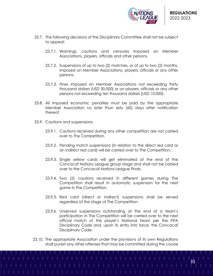

- 23.7. The following decisions of the Disciplinary Committee shall not be subject to appeal:
	- 23.7.1. Warnings, cautions and censures imposed on Member Associations, players, officials and other persons.
	- 23.7.2. Suspensions of up to two (2) matches, or of up to two (2) months, imposed on Member Associations, players, officials or any other persons.
	- 23.7.3. Fines imposed on Member Associations not exceeding thirty thousand dollars (USD 30,000) or on players, officials or any other persons not exceeding ten thousand dollars (USD 10,000).
- 23.8. All imposed economic penalties must be paid by the appropriate Member Association no later than sixty (60) days after notification thereof.
- 23.9. Cautions and suspensions:
	- 23.9.1. Cautions received during any other competition are not carried over to The Competition.
	- 23.9.2. Pending match suspensions (in relation to the direct red card or an indirect red card) will be carried over to The Competition.
	- 23.9.3. Single yellow cards will get eliminated at the end of the Concacaf Nations League group stage and shall not be carried over to the Concacaf Nations League Finals.
	- 23.9.4. Two (2) cautions received in different games during The Competition shall result in automatic suspension for the next game in The Competition.
	- 23.9.5. Red card (direct or indirect) suspensions shall be served regardless of the stage of The Competition.
	- 23.9.6. Unserved suspensions outstanding at the end of a team's participation in The Competition will be carried over to the next official match of the player's National Team per the FIFA Disciplinary Code and, upon its entry into force, the Concacaf Disciplinary Code.
- 23.10. The appropriate Association under the provisions of its own Regulations shall punish any other offenses that may be committed during the course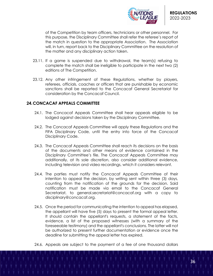

of the Competition by team officers, technicians or other personnel. For this purpose, the Disciplinary Committee shall refer the referee's report of the match in question to the appropriate Association. The Association will, in turn, report back to the Disciplinary Committee on the resolution of the matter and any disciplinary action taken.

- 23.11. If a game is suspended due to withdrawal, the team(s) refusing to complete the match shall be ineligible to participate in the next two (2) editions of The Competition.
- 23.12. Any other infringement of these Regulations, whether by players, referees, officials, coaches or officers that are punishable by economic sanctions shall be reported to the Concacaf General Secretariat for consideration by the Concacaf Council.

# **24.CONCACAF APPEALS COMMITTEE**

- 24.1. The Concacaf Appeals Committee shall hear appeals eligible to be lodged against decisions taken by the Disciplinary Committee.
- 24.2. The Concacaf Appeals Committee will apply these Regulations and the FIFA Disciplinary Code, until the entry into force of the Concacaf Disciplinary Code.
- 24.3. The Concacaf Appeals Committee shall reach its decisions on the basis of the documents and other means of evidence contained in the Disciplinary Committee's file. The Concacaf Appeals Committee may additionally, at its sole discretion, also consider additional evidence, including television and video recordings, which it considers relevant.
- 24.4. The parties must notify the Concacaf Appeals Committee of their intention to appeal the decision, by writing sent within three (3) days, counting from the notification of the grounds for the decision. Said notification must be made via email to the Concacaf General Secretariat, to general.secretariat@concacaf.org with a copy to disciplinary@concacaf.org.
- 24.5. Once the period for communicating the intention to appeal has elapsed, the appellant will have five (5) days to present the formal appeal letter. It should contain the appellant's requests, a statement of the facts, evidence, a list of the proposed witnesses (with a summary of the foreseeable testimony) and the appellant's conclusions. The latter will not be authorized to present further documentation or evidence once the deadline for submitting the appeal letter has expired.
- 24.6. Appeals are subject to the payment of a fee of one thousand dollars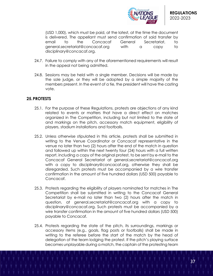

(USD 1,000), which must be paid, at the latest, at the time the document is delivered. The appellant must send confirmation of said transfer by email to the Concacaf General Secretariat, to general.secretariat@concacaf.org with a copy to disciplinary@concacaf.org.

- 24.7. Failure to comply with any of the aforementioned requirements will result in the appeal not being admitted.
- 24.8. Sessions may be held with a single member. Decisions will be made by the sole judge, or they will be adopted by a simple majority of the members present. In the event of a tie, the president will have the casting vote.

# **25.PROTESTS**

- 25.1. For the purpose of these Regulations, protests are objections of any kind related to events or matters that have a direct effect on matches organized in The Competition, including but not limited to the state of and markings on the pitch, accessory match equipment, eligibility of players, stadium installations and footballs.
- 25.2. Unless otherwise stipulated in this article, protests shall be submitted in writing to the Venue Coordinator or Concacaf representative in the venue no later than two (2) hours after the end of the match in question and followed up within the next twenty four (24) hours with a full written report, including a copy of the original protest, to be sent by e-mail to the Concacaf General Secretariat at general.secretariat@concacaf.org with a copy to disciplinary@concacaf.org, otherwise they shall be disregarded. Such protests must be accompanied by a wire transfer confirmation in the amount of five hundred dollars (USD 500) payable to Concacaf.
- 25.3. Protests regarding the eligibility of players nominated for matches in The Competition shall be submitted in writing to the Concacaf General Secretariat by e-mail no later than two (2) hours after the match in question, at general.secretariat@concacaf.org with a copy to disciplinary@concacaf.org. Such protests must be accompanied by a wire transfer confirmation in the amount of five hundred dollars (USD 500) payable to Concacaf.
- 25.4. Protests regarding the state of the pitch, its surroundings, markings or accessory items (e.g., goals, flag posts or footballs) shall be made in writing to the referee before the start of the match by the head of delegation of the team lodging the protest. If the pitch's playing surface becomes unplayable during a match, the captain of the protesting team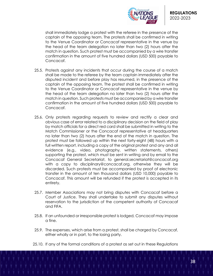

shall immediately lodge a protest with the referee in the presence of the captain of the opposing team. The protests shall be confirmed in writing to the Venue Coordinator or Concacaf representative in the venue by the head of the team delegation no later than two (2) hours after the match in question. Such protest must be accompanied by a wire transfer confirmation in the amount of five hundred dollars (USD 500) payable to Concacaf.

- 25.5. Protests against any incidents that occur during the course of a match shall be made to the referee by the team captain immediately after the disputed incident and before play has resumed, in the presence of the captain of the opposing team. The protest shall be confirmed in writing to the Venue Coordinator or Concacaf representative in the venue by the head of the team delegation no later than two (2) hours after the match in question. Such protests must be accompanied by a wire transfer confirmation in the amount of five hundred dollars (USD 500) payable to Concacaf.
- 25.6. Only protests regarding requests to review and rectify a clear and obvious case of error related to a disciplinary decision on the field of play by match officials for a direct red card shall be submitted in writing to the Match Commissioner or the Concacaf representative at headquarters no later than two (2) hours after the end of the match in question. The protest must be followed up within the next forty-eight (48) hours with a full written report, including a copy of the original protest and any and all evidence (e.g., video, photography, written statements, others) supporting the protest, which must be sent in writing and by email to the Concacaf General Secretariat, to general.secretariat@concacaf.org with a copy to disciplinary@concacaf.org, otherwise they will be discarded. Such protests must be accompanied by proof of electronic transfer in the amount of ten thousand dollars (USD 10,000) payable to Concacaf. This amount will be refunded if the protest is accepted in its entirety.
- 25.7. Member Associations may not bring disputes with Concacaf before a Court of Justice. They shall undertake to submit any disputes without reservation to the jurisdiction of the competent authority of Concacaf and FIFA.
- 25.8. If an unfounded or irresponsible protest is lodged, Concacaf may impose a fine.
- 25.9. The expenses, which arise from a protest, shall be charged by Concacaf, either wholly or in part, to the losing party.
- 25.10. If any of the formal conditions of a protest as set out in these Regulations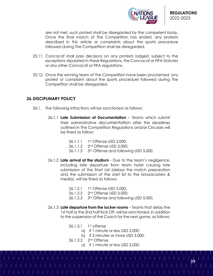

are not met, such protest shall be disregarded by the competent body. Once the final match of The Competition has ended, any protests described in this article or complaints about the sports procedure followed during The Competition shall be disregarded.

- 25.11. Concacaf shall pass decisions on any protests lodged, subject to the exceptions stipulated in these Regulations, the Concacaf or FIFA Statutes or any other Concacaf or FIFA regulations.
- 25.12. Once the winning team of The Competition have been proclaimed, any protest or complaint about the sports procedure followed during The Competition shall be disregarded.

# **26.DISCIPLINARY POLICY**

- 26.1. The following infractions will be sanctioned as follows:
	- 26.1.1 **Late Submission of Documentation** Teams which submit their administrative documentation after the deadlines outlined in The Competition Regulations and/or Circulars will be fined as follow:
		- 26.1.1.1 1st Offense USD 2,000;
		- 26.1.1.2 2nd Offense USD 3,000;
		- 26.1.1.3 3rd Offense and following USD 5,000.
	- 26.1.2 **Late arrival at the stadium**  Due to the team's negligence, including late departure from team hotel causing late submission of the Start List (delays the match preparation and the submission of the start list to the broadcasters & media), will be fined as follows:
		- 26.1.2.1 1st Offense USD 2,000;
		- 26.1.2.2 2nd Offense USD 3,000;
		- 26.1.2.3 3rd Offense and following USD 5,000.
	- 26.1.3 **Late departure from the locker rooms** Teams that delay the 1st half or the 2nd half Kick Off, will be sanctioned, in addition to the suspension of the Coach for the next game, as follows:
		- 26.1.3.1 1<sup>st</sup> offense
			- a) If 1 minute or less USD 2,000;
			- b) If 2 minutes or more USD 3,000.
		- 26.1.3.2 2nd Offense
			- a) If 1 minute or less USD 3,000;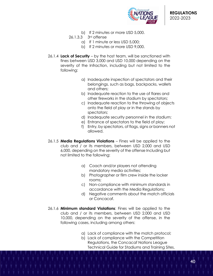

- b) If 2 minutes or more USD 5,000.
- 26.1.3.3 3rd offense
	- a) If 1 minute or less USD 5,000;
	- b) If 2 minutes or more USD 9,000.
- 26.1.4 **Lack of Security**  by the host team, will be sanctioned with fines between USD 3,000 and USD 10,000 depending on the severity of the Infraction, including but not limited to the following:
	- a) Inadequate inspection of spectators and their belongings, such as bags, backpacks, wallets and others;
	- b) Inadequate reaction to the use of flares and other fireworks in the stadium by spectators;
	- c) Inadequate reaction to the throwing of objects onto the field of play or in the stands by spectators;
	- d) Inadequate security personnel in the stadium;
	- e) Entrance of spectators to the field of play;
	- f) Entry, by spectators, of flags, signs or banners not allowed.
- 26.1.5 **Media Regulations Violations** Fines will be applied to the club and / or its members, between USD 2,000 and USD 6,000, depending on the severity of the offense Including but not limited to the following:
	- a) Coach and/or players not attending mandatory media activities;
	- b) Photographer or film crew inside the locker rooms;
	- c) Non-compliance with minimum standards in accordance with the Media Regulations;
	- d) Negative comments about the match officials or Concacaf.
- 26.1.6 **Minimum standard Violations**: Fines will be applied to the club and / or its members, between USD 2,000 and USD 10,000, depending on the severity of the offense, in the following cases, including among others:
	- a) Lack of compliance with the match protocol;
	- b) Lack of compliance with the Competition Regulations, the Concacaf Nations League Technical Guide for Stadiums and Training Sites,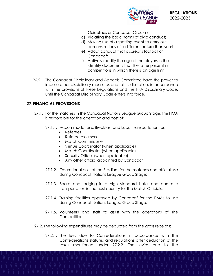

Guidelines or Concacaf Circulars.

- c) Violating the basic norms of civic conduct;
- d) Making use of a sporting event to carry out demonstrations of a different nature than sport;
- e) Adopt conduct that discredits football or Concacaf;
- f) Actively modify the age of the players in the identity documents that the latter present in competitions in which there is an age limit.
- 26.2. The Concacaf Disciplinary and Appeals Committee have the power to impose other disciplinary measures and, at its discretion, in accordance with the provisions of these Regulations and the FIFA Disciplinary Code, until the Concacaf Disciplinary Code enters into force.

# **27.FINANCIAL PROVISIONS**

- 27.1. For the matches in the Concacaf Nations League Group Stage, the HMA is responsible for the operation and cost of:
	- 27.1.1. Accommodations, Breakfast and Local Transportation for:
		- Referees
		- Referee Assessors
		- Match Commissioner
		- Venue Coordinator (when applicable)
		- Match Coordinator (when applicable)
		- Security Officer (when applicable)
		- Any other official appointed by Concacaf
	- 27.1.2. Operational cost of the Stadium for the matches and official use during Concacaf Nations League Group Stage;
	- 27.1.3. Board and lodging in a high standard hotel and domestic transportation in the host country for the Match Officials.
	- 27.1.4. Training facilities approved by Concacaf for the PMAs to use during Concacaf Nations League Group Stage;
	- 27.1.5. Volunteers and staff to assist with the operations of The Competition.
- 27.2. The following expenditures may be deducted from the gross receipts:
	- 27.2.1. The levy due to Confederations in accordance with the Confederations statutes and regulations after deduction of the taxes mentioned under 27.2.2. The levies due to the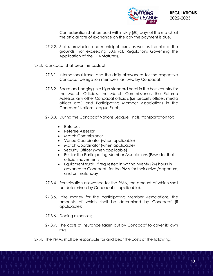

Confederation shall be paid within sixty (60) days of the match at the official rate of exchange on the day the payment is due.

- 27.2.2. State, provincial, and municipal taxes as well as the hire of the grounds, not exceeding 30% (cf. Regulations Governing the Application of the FIFA Statutes).
- 27.3. Concacaf shall bear the costs of:
	- 27.3.1. International travel and the daily allowances for the respective Concacaf delegation members, as fixed by Concacaf;
	- 27.3.2. Board and lodging in a high-standard hotel in the host country for the Match Officials, the Match Commissioner, the Referee Assessor, any other Concacaf officials (i.e. security officer, media officer etc.) and Participating Member Associations in the Concacaf Nations League Finals;
	- 27.3.3. During the Concacaf Nations League Finals, transportation for:
		- Referees
		- Referee Assessor
		- Match Commissioner
		- Venue Coordinator (when applicable)
		- Match Coordinator (when applicable)
		- Security Officer (when applicable)
		- Bus for the Participating Member Associations (PMA) for their official movements
		- Equipment truck (if requested in writing twenty (24) hours in advance to Concacaf) for the PMA for their arrival/departure; and on matchday
	- 27.3.4. Participation allowance for the PMA, the amount of which shall be determined by Concacaf (if applicable).
	- 27.3.5. Prize money for the participating Member Associations, the amounts of which shall be determined by Concacaf (if applicable);
	- 27.3.6. Doping expenses;
	- 27.3.7. The costs of insurance taken out by Concacaf to cover its own risks.
- 27.4. The PMAs shall be responsible for and bear the costs of the following: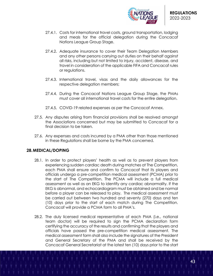

- 27.4.1. Costs for international travel costs, ground transportation, lodging and meals for the official delegation during the Concacaf Nations League Group Stage.
- 27.4.2. Adequate insurance to cover their Team Delegation Members and any other persons carrying out duties on their behalf against all risks, including but not limited to injury, accident, disease, and travel in consideration of the applicable FIFA and Concacaf rules or regulations.
- 27.4.3. International travel, visas and the daily allowances for the respective delegation members;
- 27.4.4. During the Concacaf Nations League Group Stage, the PMAs must cover all international travel costs for the entire delegation.
- 27.4.5. COVID-19 related expenses as per the Concacaf Annex.
- 27.5. Any disputes arising from financial provisions shall be resolved amongst the Associations concerned but may be submitted to Concacaf for a final decision to be taken.
- 27.6. Any expenses and costs incurred by a PMA other than those mentioned in these Regulations shall be borne by the PMA concerned.

# **28.MEDICAL/DOPING**

- 28.1. In order to protect players' health as well as to prevent players from experiencing sudden cardiac death during matches at The Competition, each PMA shall ensure and confirm to Concacaf that its players and officials undergo a pre-competition medical assessment (PCMA) prior to the start of The Competition. The PCMA will include a full medical assessment as well as an EKG to identify any cardiac abnormality. If the EKG is abnormal, and echocardiogram must be obtained and be normal before a player can be released to play. The medical assessment must be carried out between two hundred and seventy (270) days and ten (10) days prior to the start of each match during The Competition. Concacaf will provide a PCMA form to all PMA's.
- 28.2. The duly licensed medical representative of each PMA (i.e., national team doctor) will be required to sign the PCMA declaration form certifying the accuracy of the results and confirming that the players and officials have passed the pre-competition medical assessment. The medical assessment form shall also include the signatures of the President and General Secretary of the PMA and shall be received by the Concacaf General Secretariat at the latest ten (10) days prior to the start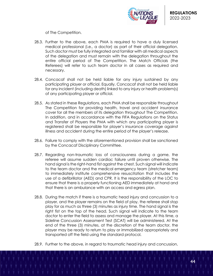

of The Competition.

- 28.3. Further to the above, each PMA is required to have a duly licensed medical professional (i.e., a doctor) as part of their official delegation. Such doctor must be fully integrated and familiar with all medical aspects of the delegation and must remain with the delegation throughout the entire official period of The Competition. The Match Officials (the Referees) will refer to such team doctor in all cases as required and necessary.
- 28.4. Concacaf shall not be held liable for any injury sustained by any participating player or official. Equally, Concacaf shall not be held liable for any incident (including death) linked to any injury or health problem(s) of any participating player or official.
- 28.5. As stated in these Regulations, each PMA shall be responsible throughout The Competition for providing health, travel and accident insurance cover for all the members of its delegation throughout The Competition. In addition, and in accordance with the FIFA Regulations on the Status and Transfer of Players the PMA with which any participating player is registered shall be responsible for player's insurance coverage against illness and accident during the entire period of the player's release.
- 28.6. Failure to comply with the aforementioned provision shall be sanctioned by the Concacaf Disciplinary Committee.
- 28.7. Regarding non-traumatic loss of consciousness during a game, the referee will assume sudden cardiac failure until proven otherwise. The hand signal is the right-hand fist against the chest. Such signal will indicate to the team doctor and the medical emergency team (stretcher team) to immediately institute comprehensive resuscitation that includes the use of a defibrillator (AED) and CPR. It is the responsibility of the LOC to ensure that there is a properly functioning AED immediately at hand and that there is an ambulance with an access and egress plan.
- 28.8. During the match if there is a traumatic head injury and concussion to a player, and the player remains on the field of play, the referee shall stop play for as much as three (3) minutes as injury time. The hand signal is the right fist on the top of the head. Such signal will indicate to the team doctor to enter the field to assess and manage the player. At this time, a Sideline Concussion Assessment Test (SCAT) will be administered. At the end of the three (3) minutes, at the discretion of the team doctor, the player may be ready to return to play or immobilized appropriately and transported off the field using the standard protocol.
- 28.9. Further to the above, in regard to traumatic head injury and concussion,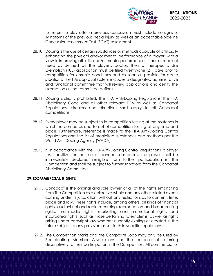

full return to play after a previous concussion must include no signs or symptoms of the previous head injury as well as an acceptable Sideline Concussion Assessment Test (SCAT) assessment.

- 28.10. Doping is the use of certain substances or methods capable of artificially enhancing the physical and/or mental performance of a player, with a view to improving athletic and/or mental performance. If there is medical need as defined by the player's doctor, then a Therapeutic Use Exemption (TUE) application must be filed twenty-one (21) days prior to competition for chronic conditions and as soon as possible for acute situations. The TUE approval system includes a designated administrative and functional committee that will review applications and certify the exemption as the committee defines.
- 28.11. Doping is strictly prohibited. The FIFA Anti-Doping Regulations, the FIFA Disciplinary Code and all other relevant FIFA as well as Concacaf Regulations, circulars and directives shall apply to all Concacaf competitions.
- 28.12. Every player may be subject to in-competition testing at the matches in which he competes and to out-of-competition testing at any time and place. Furthermore, reference is made to the FIFA Anti-Doping Control Regulations and the list of prohibited substances and methods per the World Anti-Doping Agency (WADA).
- 28.13. If, in accordance with the FIFA Anti-Doping Control Regulations, a player tests positive for the use of banned substances, the player shall be immediately declared ineligible from further participation in The Competition and shall be subject to further sanctions from the Concacaf Disciplinary Committee.

# **29.COMMERCIAL RIGHTS**

- 29.1. Concacaf is the original and sole owner of all of the rights emanating from The Competition as a collective whole and any other related events coming under its jurisdiction, without any restrictions as to content, time, place and law. These rights include, among others, all kinds of financial rights, audiovisual and radio recording, reproduction and broadcasting rights, multimedia rights, marketing and promotional rights and incorporeal rights (such as those pertaining to emblems) as well as rights arising under copyright law whether currently existing or created in the future subject to any provision as set forth in specific regulations.
- 29.2. The Competition Marks and the Composite Logo may only be used by Participating Member Associations for the purpose of referring descriptively to their participation in the Competition. All commercial or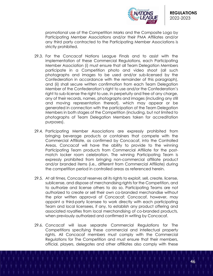

promotional use of the Competition Marks and the Composite Logo by Participating Member Associations and/or their PMA Affiliates and/or any third party contracted to the Participating Member Associations is strictly prohibited.

- 29.3. For the Concacaf Nations League Finals and to assist with the implementation of these Commercial Regulations, each Participating Member Association (i) must ensure that all Team Delegation Members participate in a Competition photo and video shoot (all such photographs and images to be used and/or sub-licensed by the Confederation in accordance with the remainder of this paragraph), and (ii) shall secure written confirmation from each Team Delegation Member of the Confederation's right to use and/or the Confederation's right to sub-license the right to use, in perpetuity and free of any charae, any of their records, names, photographs and images (including any still and moving representation thereof), which may appear or be generated in connection with the participation of the Team Delegation Members in both stages of the Competition (including, but not limited to photographs of Team Delegation Members taken for accreditation purposes).
- 29.4. Participating Member Associations are expressly prohibited from bringing beverage products or containers that compete with the Commercial Affiliate, as confirmed by Concacaf, into the Controlled Areas. Concacaf will have the ability to provide to the winning Participating Team products from Commercial Affiliate for the postmatch locker room celebration. The winning Participating Team is expressly prohibited from bringing non-commercial affiliate product and/or branded items (i.e., different from Commercial Affiliate) during the competition period in controlled areas as referenced herein.
- 29.5. At all times, Concacaf reserves all its rights to exploit, sell, create, license, sublicense, and dispose of merchandising rights for the Competition, and to authorize and license others to do so. Participating Teams are not authorized to create or sell their own co-branded merchandise without the prior written approval of Concacaf; Concacaf, however, may appoint a third-party licensee to work directly with each participating Team and local licensees, if any, to establish any product offering and associated royalties from local merchandising of co-branded products, when previously authorized and confirmed in writing by Concacaf.
- 29.6. Concacaf will issue separate Commercial Regulations for The Competitions specifying these commercial and intellectual property rights. All Concacaf members must comply with the Commercial Regulations for The Competition and must ensure that their members, official, players, delegates and other affiliates also comply with these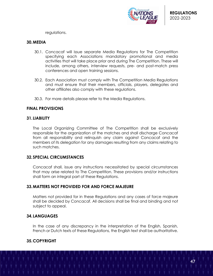

regulations.

#### **30.MEDIA**

- 30.1. Concacaf will issue separate Media Regulations for The Competition specifying each Associations mandatory promotional and media activities that will take place prior and during The Competition. These will include, among others, interview requests, pre- and post-match press conferences and open training sessions.
- 30.2. Each Association must comply with The Competition Media Regulations and must ensure that their members, officials, players, delegates and other affiliates also comply with these regulations.
- 30.3. For more details please refer to the Media Regulations.

## **FINAL PROVISIONS**

#### **31.LIABILITY**

The Local Organizing Committee of The Competition shall be exclusively responsible for the organization of the matches and shall discharge Concacaf from all responsibility and relinquish any claim against Concacaf and the members of its delegation for any damages resulting from any claims relating to such matches.

#### **32.SPECIAL CIRCUMSTANCES**

Concacaf shall, issue any instructions necessitated by special circumstances that may arise related to The Competition. These provisions and/or instructions shall form an integral part of these Regulations.

# **33.MATTERS NOT PROVIDED FOR AND FORCE MAJEURE**

Matters not provided for in these Regulations and any cases of force majeure shall be decided by Concacaf. All decisions shall be final and binding and not subject to appeal.

## **34.LANGUAGES**

In the case of any discrepancy in the interpretation of the English, Spanish, French or Dutch texts of these Regulations, the English text shall be authoritative.

## **35.COPYRIGHT**